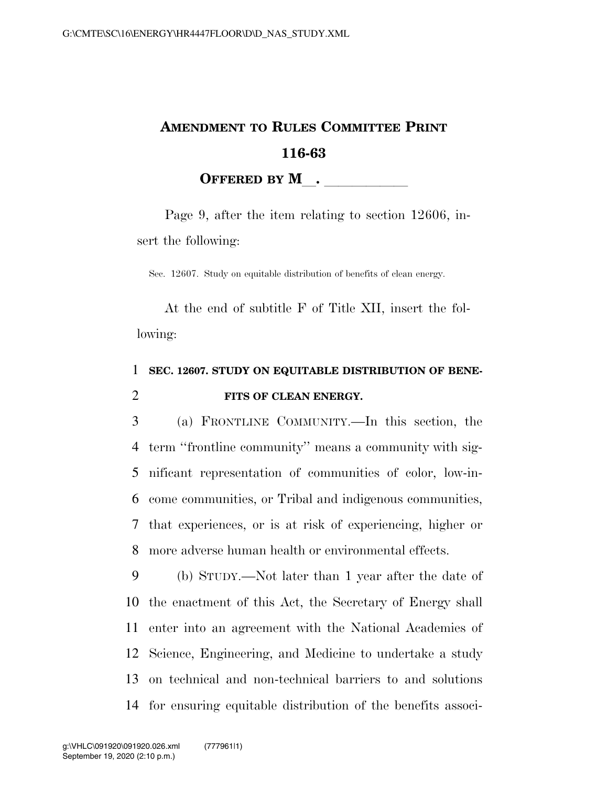## **AMENDMENT TO RULES COMMITTEE PRINT 116-63 OFFERED BY M**.

Page 9, after the item relating to section 12606, insert the following:

Sec. 12607. Study on equitable distribution of benefits of clean energy.

At the end of subtitle F of Title XII, insert the following:

## 1 **SEC. 12607. STUDY ON EQUITABLE DISTRIBUTION OF BENE-**2 **FITS OF CLEAN ENERGY.**

 (a) FRONTLINE COMMUNITY.—In this section, the term ''frontline community'' means a community with sig- nificant representation of communities of color, low-in- come communities, or Tribal and indigenous communities, that experiences, or is at risk of experiencing, higher or more adverse human health or environmental effects.

 (b) STUDY.—Not later than 1 year after the date of the enactment of this Act, the Secretary of Energy shall enter into an agreement with the National Academies of Science, Engineering, and Medicine to undertake a study on technical and non-technical barriers to and solutions for ensuring equitable distribution of the benefits associ